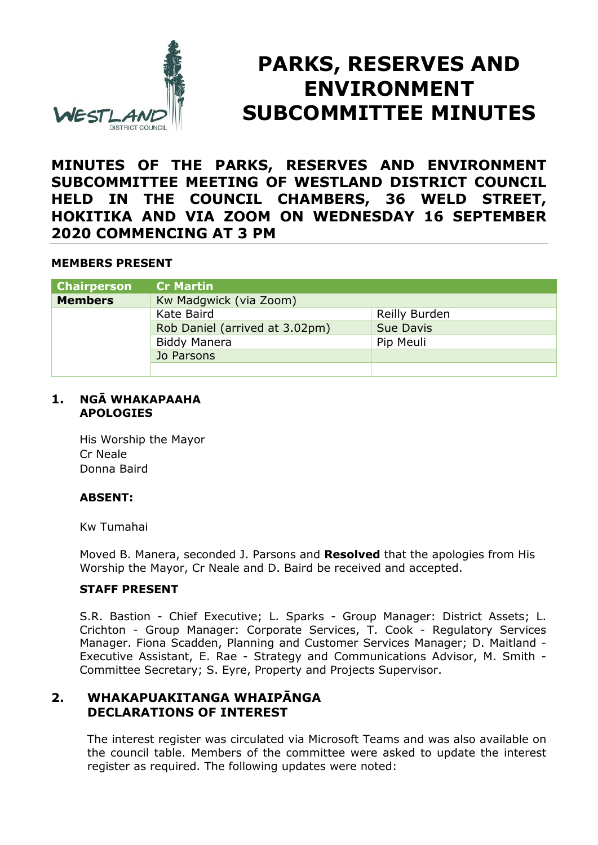

# **PARKS, RESERVES AND ENVIRONMENT SUBCOMMITTEE MINUTES**

# **MINUTES OF THE PARKS, RESERVES AND ENVIRONMENT SUBCOMMITTEE MEETING OF WESTLAND DISTRICT COUNCIL HELD IN THE COUNCIL CHAMBERS, 36 WELD STREET, HOKITIKA AND VIA ZOOM ON WEDNESDAY 16 SEPTEMBER 2020 COMMENCING AT 3 PM**

## **MEMBERS PRESENT**

| <b>Chairperson</b> | <b>Cr Martin</b>               |                  |
|--------------------|--------------------------------|------------------|
| <b>Members</b>     | Kw Madgwick (via Zoom)         |                  |
|                    | Kate Baird                     | Reilly Burden    |
|                    | Rob Daniel (arrived at 3.02pm) | <b>Sue Davis</b> |
|                    | <b>Biddy Manera</b>            | Pip Meuli        |
|                    | Jo Parsons                     |                  |
|                    |                                |                  |

#### **1. NGĀ WHAKAPAAHA APOLOGIES**

His Worship the Mayor Cr Neale Donna Baird

## **ABSENT:**

Kw Tumahai

Moved B. Manera, seconded J. Parsons and **Resolved** that the apologies from His Worship the Mayor, Cr Neale and D. Baird be received and accepted.

## **STAFF PRESENT**

S.R. Bastion - Chief Executive; L. Sparks - Group Manager: District Assets; L. Crichton - Group Manager: Corporate Services, T. Cook - Regulatory Services Manager. Fiona Scadden, Planning and Customer Services Manager; D. Maitland - Executive Assistant, E. Rae - Strategy and Communications Advisor, M. Smith - Committee Secretary; S. Eyre, Property and Projects Supervisor.

# **2. WHAKAPUAKITANGA WHAIPĀNGA DECLARATIONS OF INTEREST**

The interest register was circulated via Microsoft Teams and was also available on the council table. Members of the committee were asked to update the interest register as required. The following updates were noted: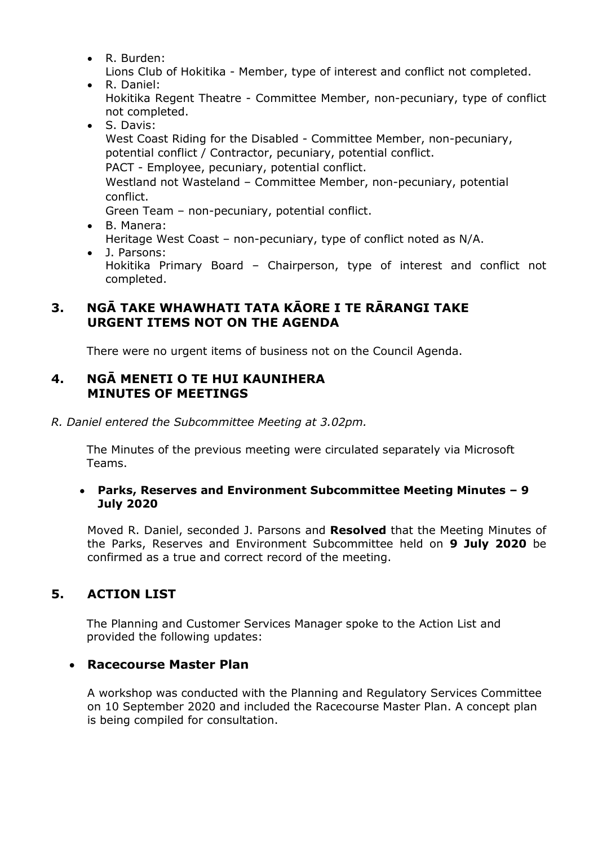R. Burden:

Lions Club of Hokitika - Member, type of interest and conflict not completed.

- R. Daniel: Hokitika Regent Theatre - Committee Member, non-pecuniary, type of conflict not completed.
- S. Davis: West Coast Riding for the Disabled - Committee Member, non-pecuniary, potential conflict / Contractor, pecuniary, potential conflict. PACT - Employee, pecuniary, potential conflict. Westland not Wasteland – Committee Member, non-pecuniary, potential conflict. Green Team – non-pecuniary, potential conflict.
- B. Manera: Heritage West Coast – non-pecuniary, type of conflict noted as N/A.
- J. Parsons: Hokitika Primary Board – Chairperson, type of interest and conflict not completed.

# **3. NGĀ TAKE WHAWHATI TATA KĀORE I TE RĀRANGI TAKE URGENT ITEMS NOT ON THE AGENDA**

There were no urgent items of business not on the Council Agenda.

# **4. NGĀ MENETI O TE HUI KAUNIHERA MINUTES OF MEETINGS**

*R. Daniel entered the Subcommittee Meeting at 3.02pm.* 

The Minutes of the previous meeting were circulated separately via Microsoft Teams.

## **Parks, Reserves and Environment Subcommittee Meeting Minutes – 9 July 2020**

Moved R. Daniel, seconded J. Parsons and **Resolved** that the Meeting Minutes of the Parks, Reserves and Environment Subcommittee held on **9 July 2020** be confirmed as a true and correct record of the meeting.

# **5. ACTION LIST**

The Planning and Customer Services Manager spoke to the Action List and provided the following updates:

# **Racecourse Master Plan**

A workshop was conducted with the Planning and Regulatory Services Committee on 10 September 2020 and included the Racecourse Master Plan. A concept plan is being compiled for consultation.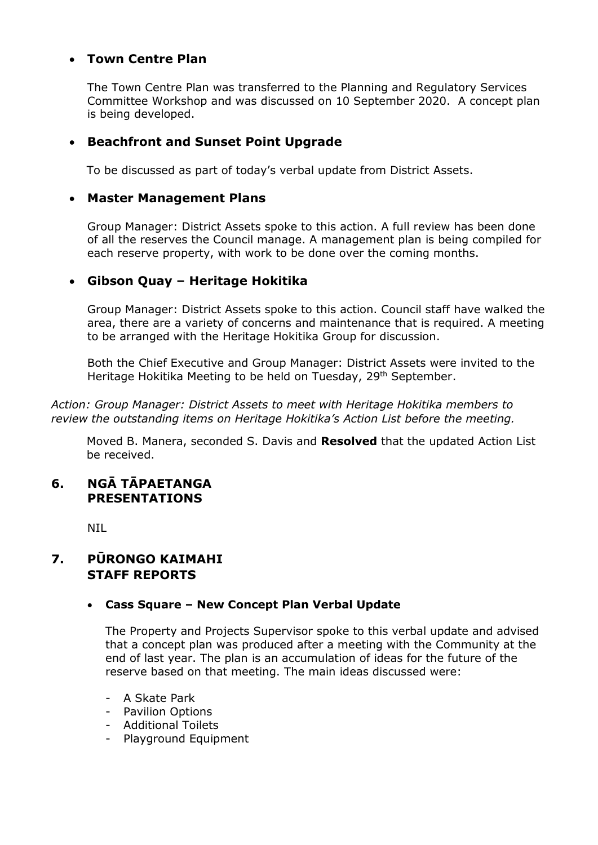# **Town Centre Plan**

The Town Centre Plan was transferred to the Planning and Regulatory Services Committee Workshop and was discussed on 10 September 2020. A concept plan is being developed.

# **Beachfront and Sunset Point Upgrade**

To be discussed as part of today's verbal update from District Assets.

#### **Master Management Plans**

Group Manager: District Assets spoke to this action. A full review has been done of all the reserves the Council manage. A management plan is being compiled for each reserve property, with work to be done over the coming months.

## **Gibson Quay – Heritage Hokitika**

Group Manager: District Assets spoke to this action. Council staff have walked the area, there are a variety of concerns and maintenance that is required. A meeting to be arranged with the Heritage Hokitika Group for discussion.

Both the Chief Executive and Group Manager: District Assets were invited to the Heritage Hokitika Meeting to be held on Tuesday, 29<sup>th</sup> September.

*Action: Group Manager: District Assets to meet with Heritage Hokitika members to review the outstanding items on Heritage Hokitika's Action List before the meeting.* 

Moved B. Manera, seconded S. Davis and **Resolved** that the updated Action List be received.

# **6. NGĀ TĀPAETANGA PRESENTATIONS**

NIL

# **7. PŪRONGO KAIMAHI STAFF REPORTS**

## **Cass Square – New Concept Plan Verbal Update**

The Property and Projects Supervisor spoke to this verbal update and advised that a concept plan was produced after a meeting with the Community at the end of last year. The plan is an accumulation of ideas for the future of the reserve based on that meeting. The main ideas discussed were:

- A Skate Park
- Pavilion Options
- Additional Toilets
- Playground Equipment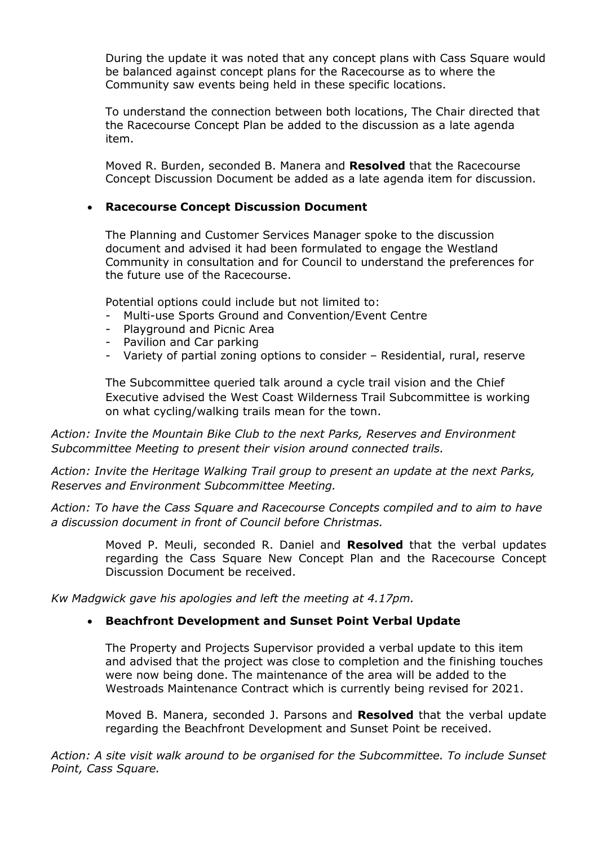During the update it was noted that any concept plans with Cass Square would be balanced against concept plans for the Racecourse as to where the Community saw events being held in these specific locations.

To understand the connection between both locations, The Chair directed that the Racecourse Concept Plan be added to the discussion as a late agenda item.

Moved R. Burden, seconded B. Manera and **Resolved** that the Racecourse Concept Discussion Document be added as a late agenda item for discussion.

#### **Racecourse Concept Discussion Document**

The Planning and Customer Services Manager spoke to the discussion document and advised it had been formulated to engage the Westland Community in consultation and for Council to understand the preferences for the future use of the Racecourse.

Potential options could include but not limited to:

- Multi-use Sports Ground and Convention/Event Centre
- Playground and Picnic Area
- Pavilion and Car parking
- Variety of partial zoning options to consider Residential, rural, reserve

The Subcommittee queried talk around a cycle trail vision and the Chief Executive advised the West Coast Wilderness Trail Subcommittee is working on what cycling/walking trails mean for the town.

*Action: Invite the Mountain Bike Club to the next Parks, Reserves and Environment Subcommittee Meeting to present their vision around connected trails.* 

*Action: Invite the Heritage Walking Trail group to present an update at the next Parks, Reserves and Environment Subcommittee Meeting.* 

*Action: To have the Cass Square and Racecourse Concepts compiled and to aim to have a discussion document in front of Council before Christmas.* 

> Moved P. Meuli, seconded R. Daniel and **Resolved** that the verbal updates regarding the Cass Square New Concept Plan and the Racecourse Concept Discussion Document be received.

*Kw Madgwick gave his apologies and left the meeting at 4.17pm.* 

## **Beachfront Development and Sunset Point Verbal Update**

The Property and Projects Supervisor provided a verbal update to this item and advised that the project was close to completion and the finishing touches were now being done. The maintenance of the area will be added to the Westroads Maintenance Contract which is currently being revised for 2021.

Moved B. Manera, seconded J. Parsons and **Resolved** that the verbal update regarding the Beachfront Development and Sunset Point be received.

*Action: A site visit walk around to be organised for the Subcommittee. To include Sunset Point, Cass Square.*